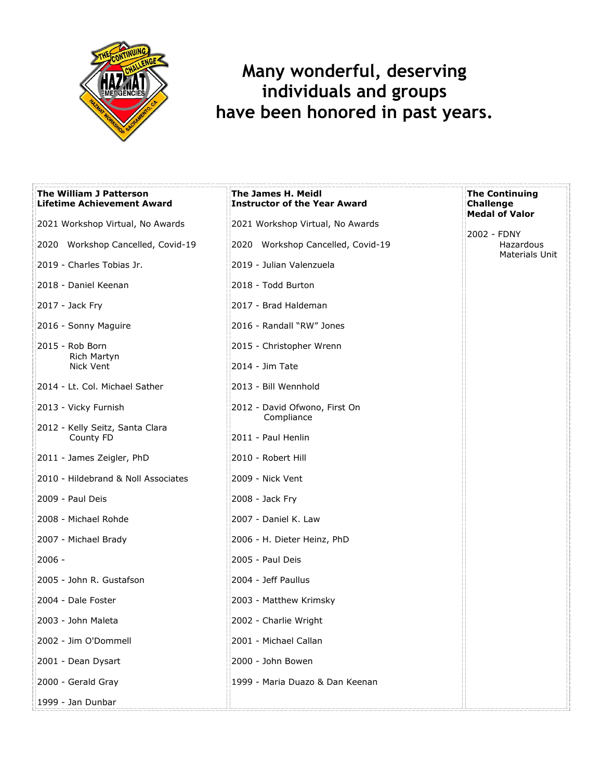

## **Many wonderful, deserving individuals and groups have been honored in past years.**

| <b>The William J Patterson</b><br><b>Lifetime Achievement Award</b> | The James H. Meidl<br><b>Instructor of the Year Award</b> | <b>The Continuing</b><br><b>Challenge</b><br><b>Medal of Valor</b> |
|---------------------------------------------------------------------|-----------------------------------------------------------|--------------------------------------------------------------------|
| 2021 Workshop Virtual, No Awards                                    | 2021 Workshop Virtual, No Awards                          |                                                                    |
| 2020 Workshop Cancelled, Covid-19                                   | 2020 Workshop Cancelled, Covid-19                         | 2002 - FDNY<br>Hazardous<br>Materials Unit                         |
| 2019 - Charles Tobias Jr.                                           | 2019 - Julian Valenzuela                                  |                                                                    |
| 2018 - Daniel Keenan                                                | 2018 - Todd Burton                                        |                                                                    |
| 2017 - Jack Fry                                                     | 2017 - Brad Haldeman                                      |                                                                    |
| 2016 - Sonny Maguire                                                | 2016 - Randall "RW" Jones                                 |                                                                    |
| 2015 - Rob Born<br>Rich Martyn                                      | 2015 - Christopher Wrenn                                  |                                                                    |
| Nick Vent                                                           | 2014 - Jim Tate                                           |                                                                    |
| 2014 - Lt. Col. Michael Sather                                      | 2013 - Bill Wennhold                                      |                                                                    |
| 2013 - Vicky Furnish                                                | 2012 - David Ofwono, First On<br>Compliance               |                                                                    |
| 2012 - Kelly Seitz, Santa Clara<br>County FD                        | 2011 - Paul Henlin                                        |                                                                    |
| 2011 - James Zeigler, PhD                                           | 2010 - Robert Hill                                        |                                                                    |
| 2010 - Hildebrand & Noll Associates                                 | 2009 - Nick Vent                                          |                                                                    |
| 2009 - Paul Deis                                                    | 2008 - Jack Fry                                           |                                                                    |
| 2008 - Michael Rohde                                                | 2007 - Daniel K. Law                                      |                                                                    |
| 2007 - Michael Brady                                                | 2006 - H. Dieter Heinz, PhD                               |                                                                    |
| $2006 -$                                                            | 2005 - Paul Deis                                          |                                                                    |
| 2005 - John R. Gustafson                                            | 2004 - Jeff Paullus                                       |                                                                    |
| 2004 - Dale Foster                                                  | 2003 - Matthew Krimsky                                    |                                                                    |
| 2003 - John Maleta                                                  | 2002 - Charlie Wright                                     |                                                                    |
| 2002 - Jim O'Dommell                                                | 2001 - Michael Callan                                     |                                                                    |
| 2001 - Dean Dysart                                                  | 2000 - John Bowen                                         |                                                                    |
| 2000 - Gerald Gray                                                  | 1999 - Maria Duazo & Dan Keenan                           |                                                                    |
| 1999 - Jan Dunbar                                                   |                                                           |                                                                    |